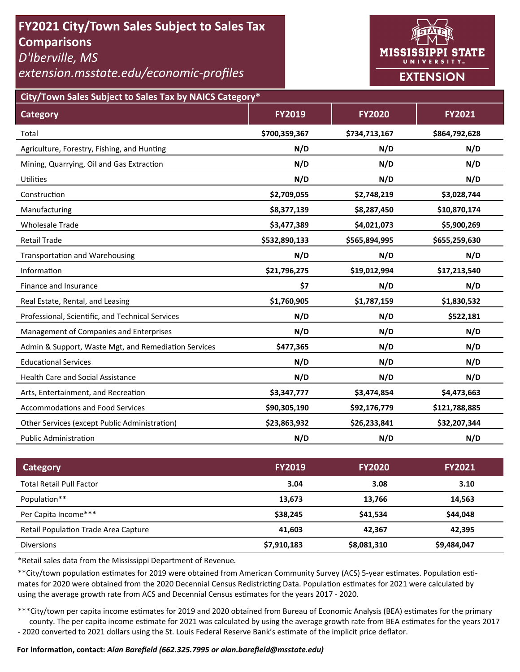# **FY2021 City/Town Sales Subject to Sales Tax Comparisons**

*D'Iberville, MS* 

# *extension.msstate.edu/economic‐profiles*



**City/Town Sales Subject to Sales Tax by NAICS Category\***

| <b>Category</b>                                      | <b>FY2019</b> | <b>FY2020</b> | <b>FY2021</b> |
|------------------------------------------------------|---------------|---------------|---------------|
| Total                                                | \$700,359,367 | \$734,713,167 | \$864,792,628 |
| Agriculture, Forestry, Fishing, and Hunting          | N/D           | N/D           | N/D           |
| Mining, Quarrying, Oil and Gas Extraction            | N/D           | N/D           | N/D           |
| <b>Utilities</b>                                     | N/D           | N/D           | N/D           |
| Construction                                         | \$2,709,055   | \$2,748,219   | \$3,028,744   |
| Manufacturing                                        | \$8,377,139   | \$8,287,450   | \$10,870,174  |
| <b>Wholesale Trade</b>                               | \$3,477,389   | \$4,021,073   | \$5,900,269   |
| <b>Retail Trade</b>                                  | \$532,890,133 | \$565,894,995 | \$655,259,630 |
| <b>Transportation and Warehousing</b>                | N/D           | N/D           | N/D           |
| Information                                          | \$21,796,275  | \$19,012,994  | \$17,213,540  |
| Finance and Insurance                                | \$7           | N/D           | N/D           |
| Real Estate, Rental, and Leasing                     | \$1,760,905   | \$1,787,159   | \$1,830,532   |
| Professional, Scientific, and Technical Services     | N/D           | N/D           | \$522,181     |
| Management of Companies and Enterprises              | N/D           | N/D           | N/D           |
| Admin & Support, Waste Mgt, and Remediation Services | \$477,365     | N/D           | N/D           |
| <b>Educational Services</b>                          | N/D           | N/D           | N/D           |
| <b>Health Care and Social Assistance</b>             | N/D           | N/D           | N/D           |
| Arts, Entertainment, and Recreation                  | \$3,347,777   | \$3,474,854   | \$4,473,663   |
| <b>Accommodations and Food Services</b>              | \$90,305,190  | \$92,176,779  | \$121,788,885 |
| Other Services (except Public Administration)        | \$23,863,932  | \$26,233,841  | \$32,207,344  |
| <b>Public Administration</b>                         | N/D           | N/D           | N/D           |

| <b>Category</b>                             | <b>FY2019</b> | <b>FY2020</b> | <b>FY2021</b> |
|---------------------------------------------|---------------|---------------|---------------|
| <b>Total Retail Pull Factor</b>             | 3.04          | 3.08          | 3.10          |
| Population**                                | 13,673        | 13.766        | 14,563        |
| Per Capita Income***                        | \$38,245      | \$41,534      | \$44,048      |
| <b>Retail Population Trade Area Capture</b> | 41,603        | 42.367        | 42,395        |
| <b>Diversions</b>                           | \$7,910,183   | \$8,081,310   | \$9,484,047   |

\*Retail sales data from the Mississippi Department of Revenue*.* 

\*\*City/town population estimates for 2019 were obtained from American Community Survey (ACS) 5-year estimates. Population estimates for 2020 were obtained from the 2020 Decennial Census Redistricting Data. Population estimates for 2021 were calculated by using the average growth rate from ACS and Decennial Census estimates for the years 2017 - 2020.

\*\*\*City/town per capita income estimates for 2019 and 2020 obtained from Bureau of Economic Analysis (BEA) estimates for the primary county. The per capita income estimate for 2021 was calculated by using the average growth rate from BEA estimates for the years 2017 - 2020 converted to 2021 dollars using the St. Louis Federal Reserve Bank's estimate of the implicit price deflator.

#### **For informaƟon, contact:** *Alan Barefield (662.325.7995 or alan.barefield@msstate.edu)*